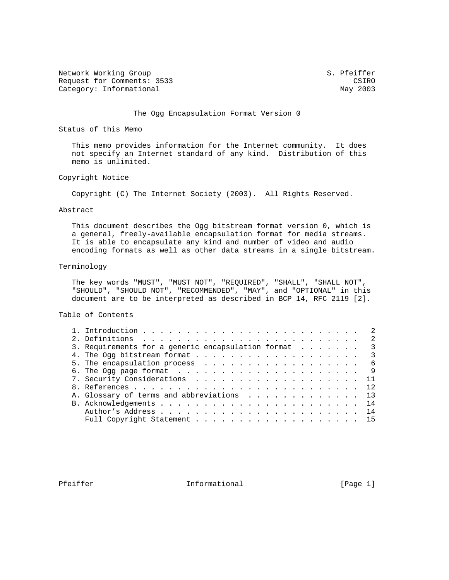Network Working Group S. Pfeiffer Request for Comments: 3533 Category: Informational CSIRO Category: Informational CSIRO CATEGORY: The CSIRO CATEGORY: The CSIRO CATEGORY: The CSIRO CATEGORY: The CSIRO CATEGORY: The CSIRO CATEGORY: The CSIRO CATEGORY: The C Category: Informational

## The Ogg Encapsulation Format Version 0

Status of this Memo

 This memo provides information for the Internet community. It does not specify an Internet standard of any kind. Distribution of this memo is unlimited.

# Copyright Notice

Copyright (C) The Internet Society (2003). All Rights Reserved.

#### Abstract

 This document describes the Ogg bitstream format version 0, which is a general, freely-available encapsulation format for media streams. It is able to encapsulate any kind and number of video and audio encoding formats as well as other data streams in a single bitstream.

## Terminology

 The key words "MUST", "MUST NOT", "REQUIRED", "SHALL", "SHALL NOT", "SHOULD", "SHOULD NOT", "RECOMMENDED", "MAY", and "OPTIONAL" in this document are to be interpreted as described in BCP 14, RFC 2119 [2].

Table of Contents

|  |                                                                               | -2 |
|--|-------------------------------------------------------------------------------|----|
|  | 3. Requirements for a generic encapsulation format<br>$\overline{\mathbf{3}}$ |    |
|  |                                                                               |    |
|  |                                                                               |    |
|  |                                                                               |    |
|  | 7. Security Considerations 11                                                 |    |
|  |                                                                               |    |
|  | A. Glossary of terms and abbreviations 13                                     |    |
|  |                                                                               |    |
|  |                                                                               |    |
|  | Full Copyright Statement 15                                                   |    |
|  |                                                                               |    |

Pfeiffer The Informational The Informational [Page 1]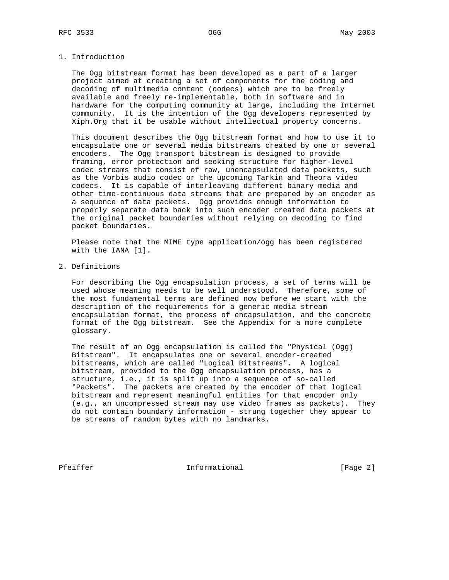## 1. Introduction

 The Ogg bitstream format has been developed as a part of a larger project aimed at creating a set of components for the coding and decoding of multimedia content (codecs) which are to be freely available and freely re-implementable, both in software and in hardware for the computing community at large, including the Internet community. It is the intention of the Ogg developers represented by Xiph.Org that it be usable without intellectual property concerns.

 This document describes the Ogg bitstream format and how to use it to encapsulate one or several media bitstreams created by one or several encoders. The Ogg transport bitstream is designed to provide framing, error protection and seeking structure for higher-level codec streams that consist of raw, unencapsulated data packets, such as the Vorbis audio codec or the upcoming Tarkin and Theora video codecs. It is capable of interleaving different binary media and other time-continuous data streams that are prepared by an encoder as a sequence of data packets. Ogg provides enough information to properly separate data back into such encoder created data packets at the original packet boundaries without relying on decoding to find packet boundaries.

 Please note that the MIME type application/ogg has been registered with the IANA [1].

2. Definitions

 For describing the Ogg encapsulation process, a set of terms will be used whose meaning needs to be well understood. Therefore, some of the most fundamental terms are defined now before we start with the description of the requirements for a generic media stream encapsulation format, the process of encapsulation, and the concrete format of the Ogg bitstream. See the Appendix for a more complete glossary.

 The result of an Ogg encapsulation is called the "Physical (Ogg) Bitstream". It encapsulates one or several encoder-created bitstreams, which are called "Logical Bitstreams". A logical bitstream, provided to the Ogg encapsulation process, has a structure, i.e., it is split up into a sequence of so-called "Packets". The packets are created by the encoder of that logical bitstream and represent meaningful entities for that encoder only (e.g., an uncompressed stream may use video frames as packets). They do not contain boundary information - strung together they appear to be streams of random bytes with no landmarks.

Pfeiffer The Informational The Informational (Page 2)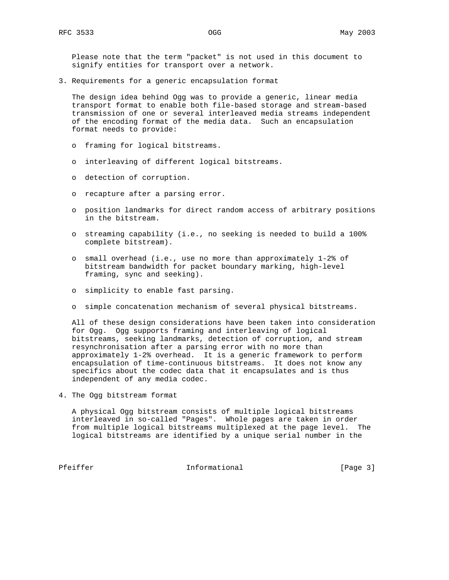Please note that the term "packet" is not used in this document to signify entities for transport over a network.

3. Requirements for a generic encapsulation format

 The design idea behind Ogg was to provide a generic, linear media transport format to enable both file-based storage and stream-based transmission of one or several interleaved media streams independent of the encoding format of the media data. Such an encapsulation format needs to provide:

- o framing for logical bitstreams.
- o interleaving of different logical bitstreams.
- o detection of corruption.
- o recapture after a parsing error.
- o position landmarks for direct random access of arbitrary positions in the bitstream.
- o streaming capability (i.e., no seeking is needed to build a 100% complete bitstream).
- o small overhead (i.e., use no more than approximately 1-2% of bitstream bandwidth for packet boundary marking, high-level framing, sync and seeking).
- o simplicity to enable fast parsing.
- o simple concatenation mechanism of several physical bitstreams.

 All of these design considerations have been taken into consideration for Ogg. Ogg supports framing and interleaving of logical bitstreams, seeking landmarks, detection of corruption, and stream resynchronisation after a parsing error with no more than approximately 1-2% overhead. It is a generic framework to perform encapsulation of time-continuous bitstreams. It does not know any specifics about the codec data that it encapsulates and is thus independent of any media codec.

4. The Ogg bitstream format

 A physical Ogg bitstream consists of multiple logical bitstreams interleaved in so-called "Pages". Whole pages are taken in order from multiple logical bitstreams multiplexed at the page level. The logical bitstreams are identified by a unique serial number in the

Pfeiffer The Informational The Informational [Page 3]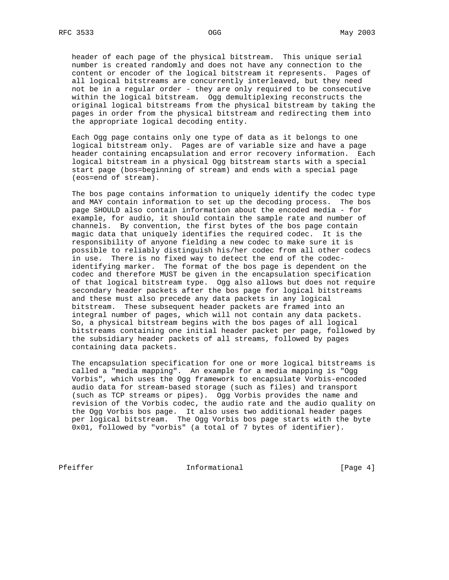header of each page of the physical bitstream. This unique serial number is created randomly and does not have any connection to the content or encoder of the logical bitstream it represents. Pages of all logical bitstreams are concurrently interleaved, but they need not be in a regular order - they are only required to be consecutive within the logical bitstream. Ogg demultiplexing reconstructs the original logical bitstreams from the physical bitstream by taking the pages in order from the physical bitstream and redirecting them into the appropriate logical decoding entity.

 Each Ogg page contains only one type of data as it belongs to one logical bitstream only. Pages are of variable size and have a page header containing encapsulation and error recovery information. Each logical bitstream in a physical Ogg bitstream starts with a special start page (bos=beginning of stream) and ends with a special page (eos=end of stream).

 The bos page contains information to uniquely identify the codec type and MAY contain information to set up the decoding process. The bos page SHOULD also contain information about the encoded media - for example, for audio, it should contain the sample rate and number of channels. By convention, the first bytes of the bos page contain magic data that uniquely identifies the required codec. It is the responsibility of anyone fielding a new codec to make sure it is possible to reliably distinguish his/her codec from all other codecs in use. There is no fixed way to detect the end of the codec identifying marker. The format of the bos page is dependent on the codec and therefore MUST be given in the encapsulation specification of that logical bitstream type. Ogg also allows but does not require secondary header packets after the bos page for logical bitstreams and these must also precede any data packets in any logical bitstream. These subsequent header packets are framed into an integral number of pages, which will not contain any data packets. So, a physical bitstream begins with the bos pages of all logical bitstreams containing one initial header packet per page, followed by the subsidiary header packets of all streams, followed by pages containing data packets.

 The encapsulation specification for one or more logical bitstreams is called a "media mapping". An example for a media mapping is "Ogg Vorbis", which uses the Ogg framework to encapsulate Vorbis-encoded audio data for stream-based storage (such as files) and transport (such as TCP streams or pipes). Ogg Vorbis provides the name and revision of the Vorbis codec, the audio rate and the audio quality on the Ogg Vorbis bos page. It also uses two additional header pages per logical bitstream. The Ogg Vorbis bos page starts with the byte 0x01, followed by "vorbis" (a total of 7 bytes of identifier).

Pfeiffer **Informational** [Page 4]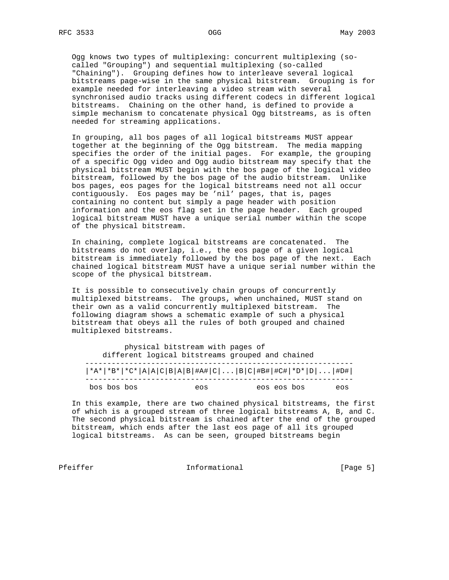Ogg knows two types of multiplexing: concurrent multiplexing (so called "Grouping") and sequential multiplexing (so-called "Chaining"). Grouping defines how to interleave several logical bitstreams page-wise in the same physical bitstream. Grouping is for example needed for interleaving a video stream with several synchronised audio tracks using different codecs in different logical bitstreams. Chaining on the other hand, is defined to provide a simple mechanism to concatenate physical Ogg bitstreams, as is often needed for streaming applications.

 In grouping, all bos pages of all logical bitstreams MUST appear together at the beginning of the Ogg bitstream. The media mapping specifies the order of the initial pages. For example, the grouping of a specific Ogg video and Ogg audio bitstream may specify that the physical bitstream MUST begin with the bos page of the logical video bitstream, followed by the bos page of the audio bitstream. Unlike bos pages, eos pages for the logical bitstreams need not all occur contiguously. Eos pages may be 'nil' pages, that is, pages containing no content but simply a page header with position information and the eos flag set in the page header. Each grouped logical bitstream MUST have a unique serial number within the scope of the physical bitstream.

 In chaining, complete logical bitstreams are concatenated. The bitstreams do not overlap, i.e., the eos page of a given logical bitstream is immediately followed by the bos page of the next. Each chained logical bitstream MUST have a unique serial number within the scope of the physical bitstream.

 It is possible to consecutively chain groups of concurrently multiplexed bitstreams. The groups, when unchained, MUST stand on their own as a valid concurrently multiplexed bitstream. The following diagram shows a schematic example of such a physical bitstream that obeys all the rules of both grouped and chained multiplexed bitstreams.

 physical bitstream with pages of different logical bitstreams grouped and chained ------------------------------------------------------------- |\*A\*|\*B\*|\*C\*|A|A|C|B|A|B|#A#|C|...|B|C|#B#|#C#|\*D\*|D|...|#D#| ------------------------------------------------------------ bos bos bos eos eos eos bos eos

 In this example, there are two chained physical bitstreams, the first of which is a grouped stream of three logical bitstreams A, B, and C. The second physical bitstream is chained after the end of the grouped bitstream, which ends after the last eos page of all its grouped logical bitstreams. As can be seen, grouped bitstreams begin

Pfeiffer The Informational The Informational (Page 5)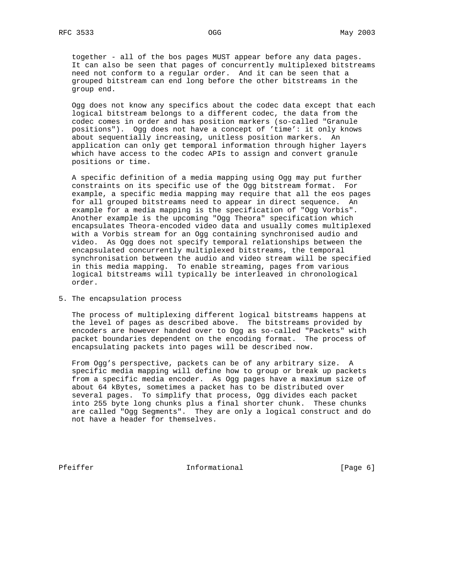together - all of the bos pages MUST appear before any data pages. It can also be seen that pages of concurrently multiplexed bitstreams need not conform to a regular order. And it can be seen that a grouped bitstream can end long before the other bitstreams in the group end.

 Ogg does not know any specifics about the codec data except that each logical bitstream belongs to a different codec, the data from the codec comes in order and has position markers (so-called "Granule positions"). Ogg does not have a concept of 'time': it only knows about sequentially increasing, unitless position markers. An application can only get temporal information through higher layers which have access to the codec APIs to assign and convert granule positions or time.

 A specific definition of a media mapping using Ogg may put further constraints on its specific use of the Ogg bitstream format. For example, a specific media mapping may require that all the eos pages for all grouped bitstreams need to appear in direct sequence. An example for a media mapping is the specification of "Ogg Vorbis". Another example is the upcoming "Ogg Theora" specification which encapsulates Theora-encoded video data and usually comes multiplexed with a Vorbis stream for an Ogg containing synchronised audio and video. As Ogg does not specify temporal relationships between the encapsulated concurrently multiplexed bitstreams, the temporal synchronisation between the audio and video stream will be specified in this media mapping. To enable streaming, pages from various logical bitstreams will typically be interleaved in chronological order.

5. The encapsulation process

 The process of multiplexing different logical bitstreams happens at the level of pages as described above. The bitstreams provided by encoders are however handed over to Ogg as so-called "Packets" with packet boundaries dependent on the encoding format. The process of encapsulating packets into pages will be described now.

 From Ogg's perspective, packets can be of any arbitrary size. A specific media mapping will define how to group or break up packets from a specific media encoder. As Ogg pages have a maximum size of about 64 kBytes, sometimes a packet has to be distributed over several pages. To simplify that process, Ogg divides each packet into 255 byte long chunks plus a final shorter chunk. These chunks are called "Ogg Segments". They are only a logical construct and do not have a header for themselves.

Pfeiffer The Informational The Informational [Page 6]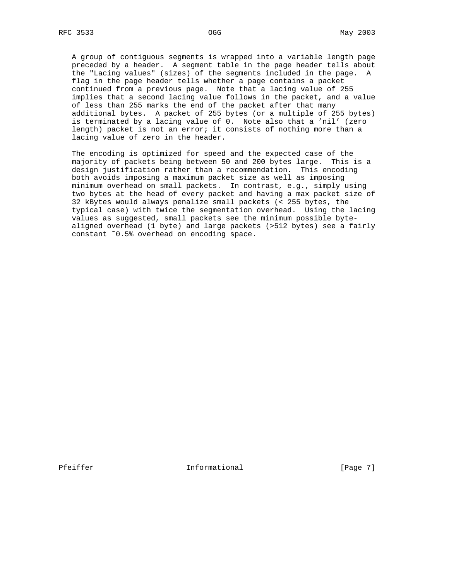A group of contiguous segments is wrapped into a variable length page preceded by a header. A segment table in the page header tells about the "Lacing values" (sizes) of the segments included in the page. A flag in the page header tells whether a page contains a packet continued from a previous page. Note that a lacing value of 255 implies that a second lacing value follows in the packet, and a value of less than 255 marks the end of the packet after that many additional bytes. A packet of 255 bytes (or a multiple of 255 bytes) is terminated by a lacing value of 0. Note also that a 'nil' (zero length) packet is not an error; it consists of nothing more than a lacing value of zero in the header.

 The encoding is optimized for speed and the expected case of the majority of packets being between 50 and 200 bytes large. This is a design justification rather than a recommendation. This encoding both avoids imposing a maximum packet size as well as imposing minimum overhead on small packets. In contrast, e.g., simply using two bytes at the head of every packet and having a max packet size of 32 kBytes would always penalize small packets (< 255 bytes, the typical case) with twice the segmentation overhead. Using the lacing values as suggested, small packets see the minimum possible byte aligned overhead (1 byte) and large packets (>512 bytes) see a fairly constant ˜0.5% overhead on encoding space.

Pfeiffer The Informational The Informational [Page 7]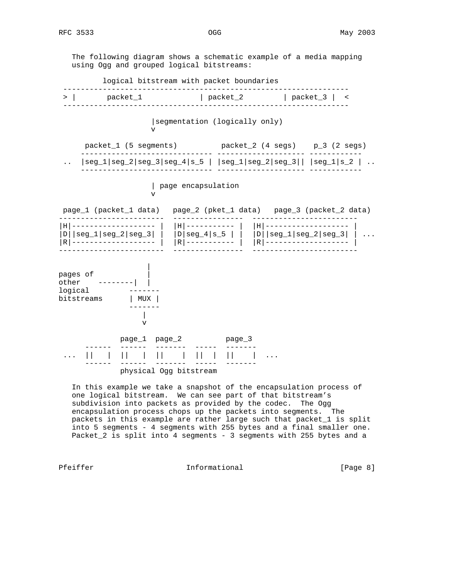The following diagram shows a schematic example of a media mapping using Ogg and grouped logical bitstreams: logical bitstream with packet boundaries ----------------------------------------------------------------- > | packet\_1 | packet\_2 | packet\_3 | < ----------------------------------------------------------------- |segmentation (logically only) v packet\_1 (5 segments) packet\_2 (4 segs) p\_3 (2 segs) ------------------------------ -------------------- ------------  $\ldots$  |seg\_1|seg\_2|seg\_3|seg\_4|s\_5 | |seg\_1|seg\_2|seg\_3|| |seg\_1|s\_2 |  $\ldots$  ------------------------------ -------------------- ------------ | page encapsulation v page\_1 (packet\_1 data) page\_2 (pket\_1 data) page\_3 (packet\_2 data) ------------------------ ---------------- ------------------------ |H|------------------- | |H|----------- | |H|------------------- |  $|D|$ |seg\_1|seg\_2|seg\_3| | |D|seg\_4|s\_5 | | |D||seg\_1|seg\_2|seg\_3| | ... |R|------------------- | |R|----------- | |R|------------------- | ------------------------ ---------------- ------------------------ |  $_{\rm pages}$  of  $_{\rm}$  | other --------| | logical ------ bitstreams | MUX | ------- | v page\_1 page\_2 page\_3 ------ ------ ------- ----- ------- ... || | || | || | || | || | ... ------ ------ ------- ----- ------ physical Ogg bitstream

 In this example we take a snapshot of the encapsulation process of one logical bitstream. We can see part of that bitstream's subdivision into packets as provided by the codec. The Ogg encapsulation process chops up the packets into segments. The packets in this example are rather large such that packet\_1 is split into 5 segments - 4 segments with 255 bytes and a final smaller one. Packet\_2 is split into 4 segments - 3 segments with 255 bytes and a

Pfeiffer The Informational The Informational (Page 8)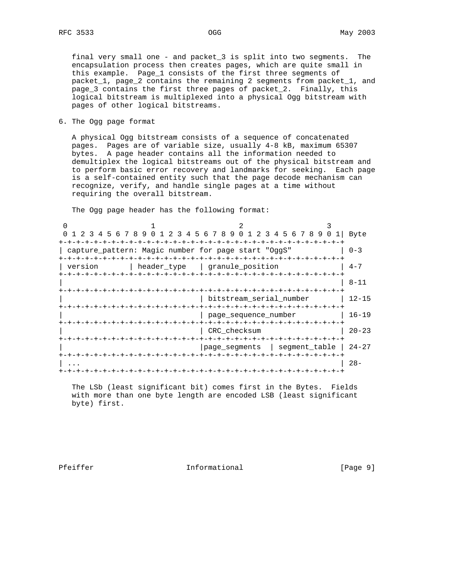6. The Ogg page format

 A physical Ogg bitstream consists of a sequence of concatenated pages. Pages are of variable size, usually 4-8 kB, maximum 65307 bytes. A page header contains all the information needed to demultiplex the logical bitstreams out of the physical bitstream and to perform basic error recovery and landmarks for seeking. Each page is a self-contained entity such that the page decode mechanism can recognize, verify, and handle single pages at a time without requiring the overall bitstream.

The Ogg page header has the following format:

| 1 2 3 4 5 6 7 8 9 0 1 2 3 4 5 6 7 8 9 0 1 2 3 4 5 6 7 8 9 0 1<br>$\mathbf 0$ |                                      | Byte      |
|------------------------------------------------------------------------------|--------------------------------------|-----------|
|                                                                              |                                      |           |
| capture_pattern: Magic number for page start "OggS"                          |                                      | $0 - 3$   |
|                                                                              |                                      |           |
| version                                                                      | header_type   granule_position       | $4 - 7$   |
|                                                                              |                                      |           |
|                                                                              |                                      | $8 - 11$  |
|                                                                              |                                      |           |
|                                                                              | bitstream_serial_number              | $12 - 15$ |
|                                                                              |                                      |           |
|                                                                              | page_sequence_number                 | $16 - 19$ |
|                                                                              | -+-+-+-+-+-+-+-+-+-+-+-+-+-          |           |
|                                                                              | CRC checksum                         | $20 - 23$ |
|                                                                              | -+-+-+-+-+-+-+-+-+<br>-+-+-+-+-+-+-+ |           |
|                                                                              | page_segments   segment_table        | $24 - 27$ |
|                                                                              |                                      |           |
|                                                                              |                                      | $28 -$    |
|                                                                              |                                      |           |

 The LSb (least significant bit) comes first in the Bytes. Fields with more than one byte length are encoded LSB (least significant byte) first.

Pfeiffer The Informational The Informational [Page 9]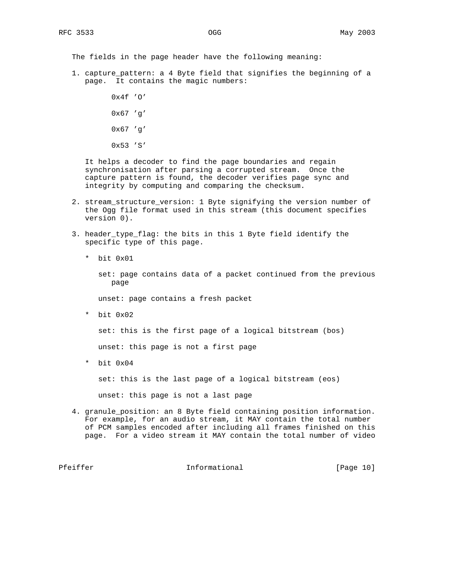The fields in the page header have the following meaning:

 1. capture\_pattern: a 4 Byte field that signifies the beginning of a page. It contains the magic numbers:

> $0x4f'0'$  0x67 'g' 0x67 'g' 0x53 'S'

 It helps a decoder to find the page boundaries and regain synchronisation after parsing a corrupted stream. Once the capture pattern is found, the decoder verifies page sync and integrity by computing and comparing the checksum.

- 2. stream\_structure\_version: 1 Byte signifying the version number of the Ogg file format used in this stream (this document specifies version 0).
- 3. header\_type\_flag: the bits in this 1 Byte field identify the specific type of this page.
	- \* bit 0x01

 set: page contains data of a packet continued from the previous page

unset: page contains a fresh packet

\* bit 0x02

set: this is the first page of a logical bitstream (bos)

unset: this page is not a first page

\* bit 0x04

set: this is the last page of a logical bitstream (eos)

unset: this page is not a last page

 4. granule\_position: an 8 Byte field containing position information. For example, for an audio stream, it MAY contain the total number of PCM samples encoded after including all frames finished on this page. For a video stream it MAY contain the total number of video

Pfeiffer **Informational** [Page 10]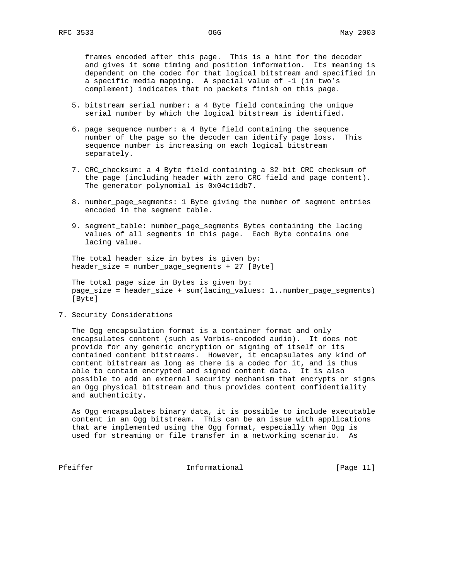frames encoded after this page. This is a hint for the decoder and gives it some timing and position information. Its meaning is dependent on the codec for that logical bitstream and specified in a specific media mapping. A special value of -1 (in two's complement) indicates that no packets finish on this page.

- 5. bitstream\_serial\_number: a 4 Byte field containing the unique serial number by which the logical bitstream is identified.
- 6. page\_sequence\_number: a 4 Byte field containing the sequence number of the page so the decoder can identify page loss. This sequence number is increasing on each logical bitstream separately.
- 7. CRC\_checksum: a 4 Byte field containing a 32 bit CRC checksum of the page (including header with zero CRC field and page content). The generator polynomial is 0x04c11db7.
- 8. number\_page\_segments: 1 Byte giving the number of segment entries encoded in the segment table.
- 9. segment\_table: number\_page\_segments Bytes containing the lacing values of all segments in this page. Each Byte contains one lacing value.

 The total header size in bytes is given by: header\_size = number\_page\_segments + 27 [Byte]

 The total page size in Bytes is given by: page\_size = header\_size + sum(lacing\_values: 1..number\_page\_segments) [Byte]

7. Security Considerations

 The Ogg encapsulation format is a container format and only encapsulates content (such as Vorbis-encoded audio). It does not provide for any generic encryption or signing of itself or its contained content bitstreams. However, it encapsulates any kind of content bitstream as long as there is a codec for it, and is thus able to contain encrypted and signed content data. It is also possible to add an external security mechanism that encrypts or signs an Ogg physical bitstream and thus provides content confidentiality and authenticity.

 As Ogg encapsulates binary data, it is possible to include executable content in an Ogg bitstream. This can be an issue with applications that are implemented using the Ogg format, especially when Ogg is used for streaming or file transfer in a networking scenario. As

Pfeiffer **Informational** [Page 11]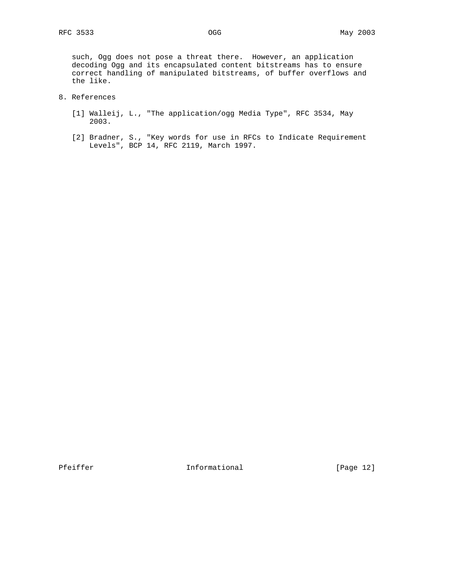such, Ogg does not pose a threat there. However, an application decoding Ogg and its encapsulated content bitstreams has to ensure correct handling of manipulated bitstreams, of buffer overflows and the like.

- 8. References
	- [1] Walleij, L., "The application/ogg Media Type", RFC 3534, May 2003.
	- [2] Bradner, S., "Key words for use in RFCs to Indicate Requirement Levels", BCP 14, RFC 2119, March 1997.

Pfeiffer **Informational** [Page 12]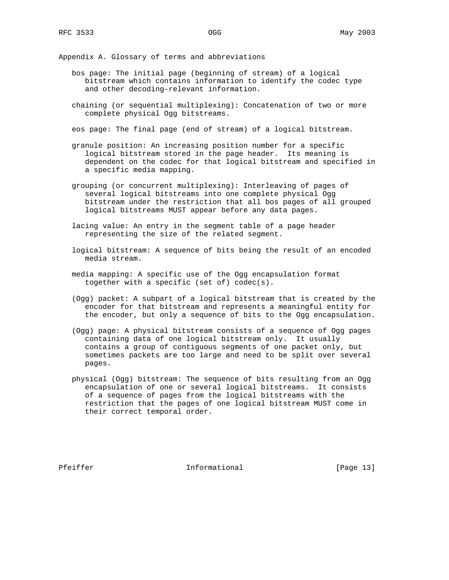Appendix A. Glossary of terms and abbreviations

- bos page: The initial page (beginning of stream) of a logical bitstream which contains information to identify the codec type and other decoding-relevant information.
- chaining (or sequential multiplexing): Concatenation of two or more complete physical Ogg bitstreams.

eos page: The final page (end of stream) of a logical bitstream.

- granule position: An increasing position number for a specific logical bitstream stored in the page header. Its meaning is dependent on the codec for that logical bitstream and specified in a specific media mapping.
- grouping (or concurrent multiplexing): Interleaving of pages of several logical bitstreams into one complete physical Ogg bitstream under the restriction that all bos pages of all grouped logical bitstreams MUST appear before any data pages.
- lacing value: An entry in the segment table of a page header representing the size of the related segment.
- logical bitstream: A sequence of bits being the result of an encoded media stream.
- media mapping: A specific use of the Ogg encapsulation format together with a specific (set of) codec(s).
- (Ogg) packet: A subpart of a logical bitstream that is created by the encoder for that bitstream and represents a meaningful entity for the encoder, but only a sequence of bits to the Ogg encapsulation.
- (Ogg) page: A physical bitstream consists of a sequence of Ogg pages containing data of one logical bitstream only. It usually contains a group of contiguous segments of one packet only, but sometimes packets are too large and need to be split over several pages.
- physical (Ogg) bitstream: The sequence of bits resulting from an Ogg encapsulation of one or several logical bitstreams. It consists of a sequence of pages from the logical bitstreams with the restriction that the pages of one logical bitstream MUST come in their correct temporal order.

Pfeiffer **Informational** [Page 13]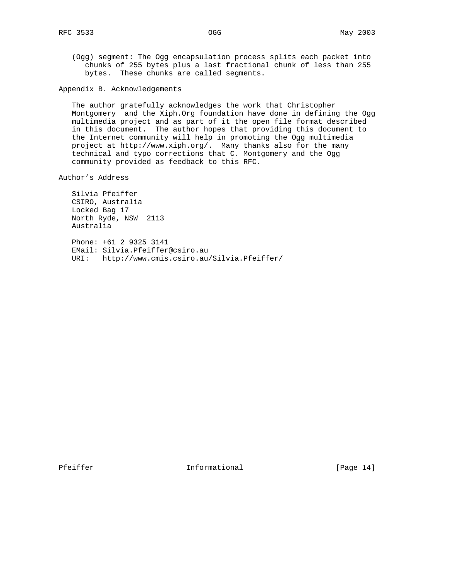(Ogg) segment: The Ogg encapsulation process splits each packet into chunks of 255 bytes plus a last fractional chunk of less than 255 bytes. These chunks are called segments.

Appendix B. Acknowledgements

 The author gratefully acknowledges the work that Christopher Montgomery and the Xiph.Org foundation have done in defining the Ogg multimedia project and as part of it the open file format described in this document. The author hopes that providing this document to the Internet community will help in promoting the Ogg multimedia project at http://www.xiph.org/. Many thanks also for the many technical and typo corrections that C. Montgomery and the Ogg community provided as feedback to this RFC.

Author's Address

 Silvia Pfeiffer CSIRO, Australia Locked Bag 17 North Ryde, NSW 2113 Australia

 Phone: +61 2 9325 3141 EMail: Silvia.Pfeiffer@csiro.au URI: http://www.cmis.csiro.au/Silvia.Pfeiffer/

Pfeiffer **Informational** [Page 14]